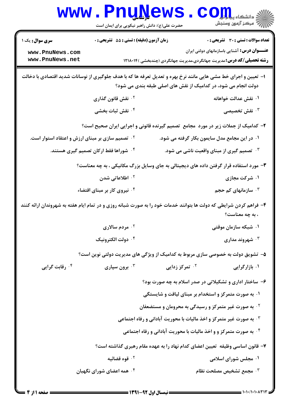|                                                                                                                                                                                   | www.PnuNews<br>حضرت علی(ع): دانش راهبر نیکویی برای ایمان است                           |                                                                                 | رآ - مرڪز آزمون وسنڊش                                                                                                                |  |  |
|-----------------------------------------------------------------------------------------------------------------------------------------------------------------------------------|----------------------------------------------------------------------------------------|---------------------------------------------------------------------------------|--------------------------------------------------------------------------------------------------------------------------------------|--|--|
| <b>سری سوال :</b> یک ۱                                                                                                                                                            | <b>زمان آزمون (دقیقه) : تستی : 55 تشریحی : 0</b>                                       |                                                                                 | <b>تعداد سوالات : تستی : 30 ٪ تشریحی : 0</b>                                                                                         |  |  |
| www.PnuNews.com<br>www.PnuNews.net                                                                                                                                                |                                                                                        |                                                                                 | <b>عنــــوان درس:</b> آشنایی باسازمانهای دولتی ایران<br><b>رشته تحصیلی/کد درس:</b> مدیریت جهانگردی،مدیریت جهانگردی (چندبخشی )۱۲۱۸۰۱۴ |  |  |
| ا– تعیین و اجرای خط مشی هایی مانند نرخ بهره و تعدیل تعرفه ها که با هدف جلوگیری از نوسانات شدید اقتصادی با دخالت<br>دولت انجام می شود، در کدامیک از نقش های اصلی طبقه بندی می شود؟ |                                                                                        |                                                                                 |                                                                                                                                      |  |  |
|                                                                                                                                                                                   | ۰ <sup>۲</sup> نقش قانون گذاری                                                         |                                                                                 | ۰۱ نقش عدالت خواهانه                                                                                                                 |  |  |
|                                                                                                                                                                                   | ۰۴ نقش ثبات بخشی                                                                       |                                                                                 | نقش تخصیصی $\cdot^{\mathsf{v}}$                                                                                                      |  |  |
| ۲- کدامیک از جملات زیر در مورد ًمجامع آتصمیم گیرنده قانونی و اجرایی ایران صحیح است؟                                                                                               |                                                                                        |                                                                                 |                                                                                                                                      |  |  |
| <sup>۲ .</sup> تصمیم سازی بر مبنای ارزش و اعتقاد استوار است.                                                                                                                      |                                                                                        |                                                                                 | ۰۱ در این مجامع مدل سایمون بکار گرفته می شود.                                                                                        |  |  |
|                                                                                                                                                                                   | ۰ <sup>۴</sup> شوراها فقط ارکان تصمیم گیری هستند.                                      |                                                                                 | ۰۳ تصمیم گیری از مبنای واقعیت ناشی می شود.                                                                                           |  |  |
|                                                                                                                                                                                   | ۳- مورد استفاده قرار گرفتن داده های دیجیتالی به جای وسایل بزرگ مکانیکی ، به چه معناست؟ |                                                                                 |                                                                                                                                      |  |  |
|                                                                                                                                                                                   | ۰ <sup>۲</sup> اطلاعاتی شدن                                                            |                                                                                 | ۰۱ شرکت مجازی                                                                                                                        |  |  |
|                                                                                                                                                                                   | ۰۴ نیروی کار بر مبنای اقتضاء                                                           |                                                                                 | ا سازمانهای کم حجم $\cdot$ ۳                                                                                                         |  |  |
| ۴- فراهم کردن شرایطی که دولت ها بتوانند خدمات خود را به صورت شبانه روزی و در تمام ایام هفته به شهروندان ارائه کنند<br>، به چه معناست؟                                             |                                                                                        |                                                                                 |                                                                                                                                      |  |  |
|                                                                                                                                                                                   | <sup>۰۲</sup> مردم سالاری                                                              |                                                                                 | ۰۱ شبکه سازمان موقتی                                                                                                                 |  |  |
|                                                                                                                                                                                   | ۰۴ دولت الکترونیک                                                                      |                                                                                 | شهروند مداری $\cdot^7$                                                                                                               |  |  |
|                                                                                                                                                                                   |                                                                                        | ۵– تشویق دولت به خصوصی سازی مربوط به کدامیک از ویژگی های مدیریت دولتی نوین است؟ |                                                                                                                                      |  |  |
| ۰ <sup>۴</sup> رقابت گرایی                                                                                                                                                        | برون سپاری $\cdot^{\mathsf{\tiny{\sf F}}}$                                             | ۰ <sup>۲</sup> تمرکز زدایی                                                      | ۰۱ بازارگرایی                                                                                                                        |  |  |
|                                                                                                                                                                                   |                                                                                        | ۶– ساختار اداری و تشکیلاتی در صدر اسلام به چه صورت بود؟                         |                                                                                                                                      |  |  |
|                                                                                                                                                                                   |                                                                                        | ۰۱ به صورت متمرکز و استخدام بر مبنای لیاقت و شایستگی                            |                                                                                                                                      |  |  |
|                                                                                                                                                                                   | <sup>۰۲</sup> به صورت غیر متمرکز و رسیدگی به محرومان و مستضعفان                        |                                                                                 |                                                                                                                                      |  |  |
| <b>4 . به صورت غیر متمرکز و اخذ مالیات با محوریت آبادانی و رفاه اجتماعی</b>                                                                                                       |                                                                                        |                                                                                 |                                                                                                                                      |  |  |
| ۰۴ به صورت متمرکز و و اخذ مالیات با محوریت آبادانی و رفاه اجتماعی                                                                                                                 |                                                                                        |                                                                                 |                                                                                                                                      |  |  |
| ۷– قانون اساسی وظیفه ِ تعیین اعضای کدام نهاد را به عهده مقام رهبری گذاشته است؟                                                                                                    |                                                                                        |                                                                                 |                                                                                                                                      |  |  |
|                                                                                                                                                                                   | ۰ <sup>۲</sup> قوه قضائیه                                                              |                                                                                 | ۰۱ مجلس شورای اسلامی                                                                                                                 |  |  |
|                                                                                                                                                                                   | ۰۴ همه اعضای شورای نگهبان                                                              |                                                                                 | هجمع تشخيص مصلحت نظام $\cdot$                                                                                                        |  |  |
|                                                                                                                                                                                   |                                                                                        |                                                                                 |                                                                                                                                      |  |  |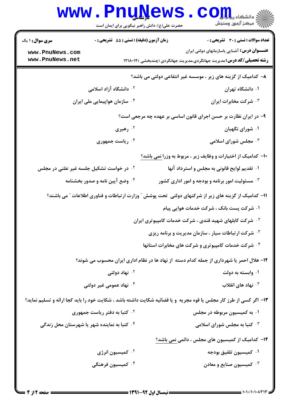|                                                                  | www.PnuNews<br>حضرت علی(ع): دانش راهبر نیکویی برای ایمان است                                        | الادانشگاه پیاوران<br>الا مرکز آزمون وسنجش                                                                                          |  |  |  |
|------------------------------------------------------------------|-----------------------------------------------------------------------------------------------------|-------------------------------------------------------------------------------------------------------------------------------------|--|--|--|
| <b>سری سوال : ۱ یک</b>                                           | زمان آزمون (دقیقه) : تستی : 55 تشریحی : 0                                                           | <b>تعداد سوالات : تستی : 30 ٪ تشریحی : 0</b>                                                                                        |  |  |  |
| www.PnuNews.com<br>www.PnuNews.net                               |                                                                                                     | <b>عنـــوان درس:</b> آشنایی باسازمانهای دولتی ایران<br><b>رشته تحصیلی/کد درس:</b> مدیریت جهانگردی،مدیریت جهانگردی (چندبخشی )۱۲۱۸۰۱۴ |  |  |  |
|                                                                  |                                                                                                     | ۸– کدامیک از گزینه های زیر ، موسسه غیر انتفاعی دولتی می باشد؟                                                                       |  |  |  |
|                                                                  | <b>۲ . دانشگاه آزاد اسلامی</b>                                                                      | ۰۱ دانشگاه تهران                                                                                                                    |  |  |  |
|                                                                  | ۰ <sup>۴</sup> سازمان هواپیمایی ملی ایران                                                           | ۰ <sup>۳</sup> شرکت مخابرات ایران                                                                                                   |  |  |  |
| ۹- در ایران نظارت بر حسن اجرای قانون اساسی بر عهده چه مرجعی است؟ |                                                                                                     |                                                                                                                                     |  |  |  |
|                                                                  | ۰۲ رهبری                                                                                            | ۰۱ شورای نگهبان                                                                                                                     |  |  |  |
|                                                                  | ۰۴ ریاست جمهوری                                                                                     | مجلس شورای اسلامی $\cdot$ ۲                                                                                                         |  |  |  |
|                                                                  |                                                                                                     | +ا– کدامیک از اختیارات و وظایف زیر ، مربوط به وزرا <u>نمی</u> باشد؟                                                                 |  |  |  |
|                                                                  | ۰ <sup>۲</sup> در خواست تشکیل جلسه غیر علنی در مجلس                                                 | ۰۱ تقدیم لوایح قانونی به مجلس و استرداد آنها                                                                                        |  |  |  |
|                                                                  | ۰۴ وضع آیین نامه و صدور بخشنامه                                                                     | ه مسئولیت امور برنامه و بودجه و امور اداری کشور $\cdot ^{\mathrm{v}}$                                                               |  |  |  |
|                                                                  | 11- کدامیک از گزینه های زیر از شرکتهای دولتی تحت پوشش ″ وزارت ارتباطات و فناوری اطلاعات ″ می باشند؟ |                                                                                                                                     |  |  |  |
|                                                                  |                                                                                                     | ۰۱ شرکت پست بانک ، شرکت خدمات هوایی پیام                                                                                            |  |  |  |
|                                                                  | <sup>۲</sup> ۰ شرکت کابلهای شهید قندی ، شرکت خدمات کامپیوتری ایران                                  |                                                                                                                                     |  |  |  |
|                                                                  |                                                                                                     | شرکت ارتباطات سیار ، سازمان مدیریت و برنامه ریزی "                                                                                  |  |  |  |
|                                                                  |                                                                                                     | ۰۴ شرکت خدمات کامپیوتری و شرکت های مخابرات استانها                                                                                  |  |  |  |
|                                                                  |                                                                                                     | ۱۲– هلال احمر یا شهرداری از جمله کدام دسته از نهاد ها در نظام اداری ایران محسوب می شوند؟                                            |  |  |  |
|                                                                  | ۰ <sup>۲</sup> نهاد دولتي                                                                           | ۰۱ وابسته به دولت                                                                                                                   |  |  |  |
|                                                                  | ۰۴ نهاد عمومي غير دولتي                                                                             | نهاد های انقلاب $\cdot$                                                                                                             |  |  |  |
|                                                                  |                                                                                                     | ۱۳- اگر کسی از طرز کار مجلس یا قوه مجریه ًو یا قضائیه شکایت داشته باشد ، شکایت خود را باید کجا ارائه و تسلیم نماید؟                 |  |  |  |
|                                                                  | <b>7 . کتبا به دفتر ریاست جمهوری</b>                                                                | ۰۱ به کمیسیون مربوطه در مجلس                                                                                                        |  |  |  |
|                                                                  | ۰۴ کتبا به نماینده شهر یا شهرستان محل زندگی                                                         | ن کتبا به مجلس شورای اسلامی $\cdot^{\textsf{v}}$                                                                                    |  |  |  |
|                                                                  |                                                                                                     | ۱۴– کدامیک از کمیسیون های مجلس ، دائمی نمی باشد؟                                                                                    |  |  |  |
|                                                                  | ۰ <sup>۲</sup> کمیسیون انرژی                                                                        | ٠١ كميسيون تلفيق بودجه                                                                                                              |  |  |  |
|                                                                  | ۰ <sup>۴</sup> کمیسیون فرهنگی                                                                       | ۰ <sup>۳</sup> کمیسیون صنایع و معادن                                                                                                |  |  |  |
|                                                                  |                                                                                                     |                                                                                                                                     |  |  |  |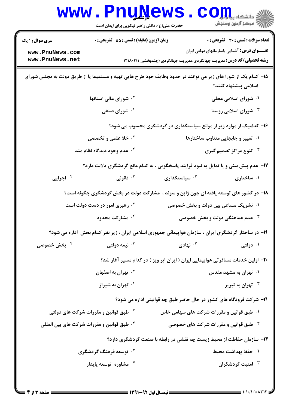|                                                                                                                                       | www.PnuNews<br>حضرت علی(ع): دانش راهبر نیکویی برای ایمان است                                        |                                                                                 | الاد دانشگاه پیاه <mark>برای</mark><br>اگر دانشگاه پیاه وسنجش                                                                        |  |
|---------------------------------------------------------------------------------------------------------------------------------------|-----------------------------------------------------------------------------------------------------|---------------------------------------------------------------------------------|--------------------------------------------------------------------------------------------------------------------------------------|--|
| <b>سری سوال : ۱ یک</b>                                                                                                                | زمان آزمون (دقیقه) : تستی : 55 آتشریحی : 0                                                          |                                                                                 | <b>تعداد سوالات : تستی : 30 ٪ تشریحی : 0</b>                                                                                         |  |
| www.PnuNews.com<br>www.PnuNews.net                                                                                                    |                                                                                                     |                                                                                 | <b>عنــــوان درس:</b> آشنایی باسازمانهای دولتی ایران<br><b>رشته تحصیلی/کد درس:</b> مدیریت جهانگردی،مدیریت جهانگردی (چندبخشی )۱۲۱۸۰۱۴ |  |
| ۱۵– کدام یک از شورا های زیر می توانند در حدود وظایف خود طرح هایی تهیه و مستقیما یا از طریق دولت به مجلس شورای<br>اسلامی پیشنهاد کنند؟ |                                                                                                     |                                                                                 |                                                                                                                                      |  |
|                                                                                                                                       | <sup>۲.</sup> شورای عالی استانها                                                                    |                                                                                 | ۰۱ شورای اسلامی محلی                                                                                                                 |  |
|                                                                                                                                       | ۰۴ شورای صنفی                                                                                       |                                                                                 | شورای اسلامی روستا $\cdot$ ۳                                                                                                         |  |
|                                                                                                                                       |                                                                                                     | ۱۶- کدامیک از موارد زیر از موانع سیاستگذاری در گردشگری محسوب می شود؟            |                                                                                                                                      |  |
|                                                                                                                                       | <b>10 خلا علمی و تخصصی</b>                                                                          |                                                                                 | ۰۱ تغییر و جابجایی متناوب ساختارها                                                                                                   |  |
|                                                                                                                                       | ۰۴ عدم وجود دیدگاه نظام مند                                                                         |                                                                                 | ۰ <sup>۳ ت</sup> نوع مراکز تصمیم گیری                                                                                                |  |
|                                                                                                                                       | ۱۷- عدم پیش بینی و یا تمایل به نبود فرایند پاسخگویی ، به کدام مانع گردشگری دلالت دارد؟              |                                                                                 |                                                                                                                                      |  |
| ۰۴ اجرایی                                                                                                                             | ا قانونى $\cdot$                                                                                    | ۰ <sup>۲</sup> سیاستگذاری                                                       | ۰۱ ساختاری                                                                                                                           |  |
|                                                                                                                                       | ۱۸- در کشور های توسعه یافته ای چون ژاپن و سوئد ، مشارکت دولت در بخش گردشگری چگونه است؟              |                                                                                 |                                                                                                                                      |  |
|                                                                                                                                       | <b>۰۲ رهبری امور در دست دولت است</b>                                                                |                                                                                 | ۰۱ تشریک مساعی بین دولت و بخش خصوصی                                                                                                  |  |
|                                                                                                                                       | ۰۴ مشارکت محدود                                                                                     |                                                                                 | <b>۰۳ عدم هماهنگی دولت و بخش خصوصی</b>                                                                                               |  |
|                                                                                                                                       | ۱۹- در ساختار گردشگری ایران ، سازمان هواپیمائی جمهوری اسلامی ایران ، زیر نظر کدام بخش اداره می شود؟ |                                                                                 |                                                                                                                                      |  |
| <b>۴ . بخش خصوصی</b>                                                                                                                  | نيمه دولتي $\cdot^{\mathsf{v}}$                                                                     | ۰ <sup>۲</sup> نهادی                                                            | ۰۱ دولتی                                                                                                                             |  |
|                                                                                                                                       |                                                                                                     | ۲۰– اولین خدمات مسافرتی هواپیمایی ایران ( ایران ایر ویز ) در کدام مسیر آغاز شد؟ |                                                                                                                                      |  |
|                                                                                                                                       | <sup>۲</sup> ۰ تهران به اصفهان                                                                      |                                                                                 | ۰۱ تهران به مشهد مقدس                                                                                                                |  |
|                                                                                                                                       | ۰ <sup>۴</sup> تهران به شیراز                                                                       |                                                                                 | تهران به تبريز $\cdot$                                                                                                               |  |
|                                                                                                                                       |                                                                                                     | <b>۲۱</b> - شرکت فرودگاه های کشور در حال حاضر طبق چه قوانینی اداره می شود؟      |                                                                                                                                      |  |
|                                                                                                                                       | <sup>۲ .</sup> طبق قوانین و مقررات شرکت های دولتی                                                   |                                                                                 | ۰۱ طبق قوانین و مقررات شرکت های سهامی خاص                                                                                            |  |
|                                                                                                                                       | ۰۴ طبق قوانین و مقررات شرکت های بین المللی                                                          |                                                                                 | <b>4 قلبق قوانین و مقررات شرکت های خصوصی</b> *                                                                                       |  |
|                                                                                                                                       |                                                                                                     | ۲۲- سازمان حفاظت از محیط زیست چه نقشی در رابطه با صنعت گردشگری دارد؟            |                                                                                                                                      |  |
|                                                                                                                                       | <sup>۲</sup> ۰ توسعه فرهنگ گردشگری                                                                  |                                                                                 | ٠١. حفظ بهداشت محيط                                                                                                                  |  |
|                                                                                                                                       | ۰۴ مشاوره توسعه پایدار                                                                              |                                                                                 | ۰ <sup>۳</sup> امنیت گردشگران                                                                                                        |  |
|                                                                                                                                       |                                                                                                     |                                                                                 |                                                                                                                                      |  |

 $= 1.1 \cdot 11.1 \cdot \Delta \text{Y}$